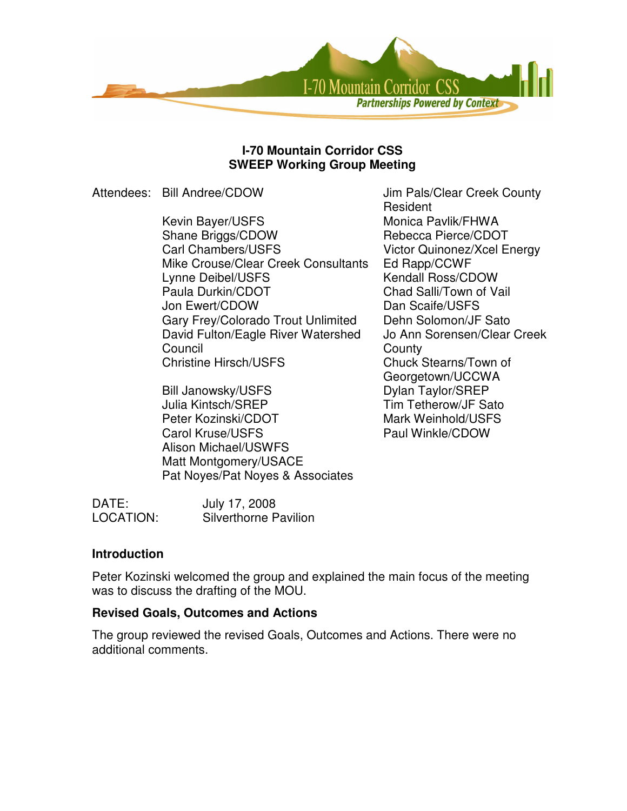

#### **I-70 Mountain Corridor CSS SWEEP Working Group Meeting**

Attendees: Bill Andree/CDOW Jim Pals/Clear Creek County

Kevin Bayer/USFS Monica Pavlik/FHWA Shane Briggs/CDOW Rebecca Pierce/CDOT Carl Chambers/USFS Victor Quinonez/Xcel Energy Mike Crouse/Clear Creek Consultants Ed Rapp/CCWF Lynne Deibel/USFS Kendall Ross/CDOW Paula Durkin/CDOT Chad Salli/Town of Vail Jon Ewert/CDOW Dan Scaife/USFS Gary Frey/Colorado Trout Unlimited Dehn Solomon/JF Sato David Fulton/Eagle River Watershed Council Christine Hirsch/USFS Chuck Stearns/Town of

Bill Janowsky/USFS Dylan Taylor/SREP Julia Kintsch/SREP Tim Tetherow/JF Sato Peter Kozinski/CDOT Mark Weinhold/USFS Carol Kruse/USFS Paul Winkle/CDOW Alison Michael/USWFS Matt Montgomery/USACE Pat Noyes/Pat Noyes & Associates

Resident Jo Ann Sorensen/Clear Creek **County** Georgetown/UCCWA

DATE: July 17, 2008 LOCATION: Silverthorne Pavilion

### **Introduction**

Peter Kozinski welcomed the group and explained the main focus of the meeting was to discuss the drafting of the MOU.

### **Revised Goals, Outcomes and Actions**

The group reviewed the revised Goals, Outcomes and Actions. There were no additional comments.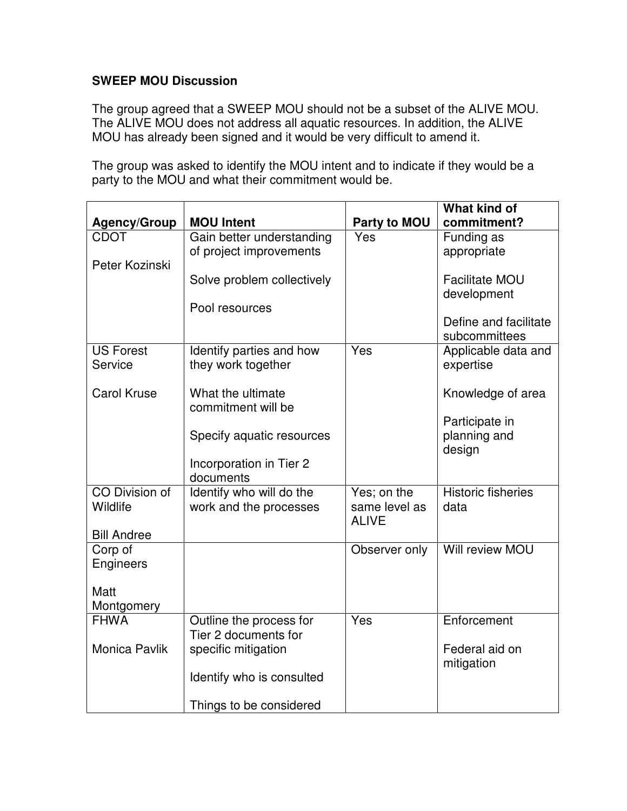# **SWEEP MOU Discussion**

The group agreed that a SWEEP MOU should not be a subset of the ALIVE MOU. The ALIVE MOU does not address all aquatic resources. In addition, the ALIVE MOU has already been signed and it would be very difficult to amend it.

The group was asked to identify the MOU intent and to indicate if they would be a party to the MOU and what their commitment would be.

|                       |                                                |               | <b>What kind of</b>       |
|-----------------------|------------------------------------------------|---------------|---------------------------|
| <b>Agency/Group</b>   | <b>MOU Intent</b>                              | Party to MOU  | commitment?               |
| <b>CDOT</b>           | Gain better understanding                      | Yes           | Funding as                |
|                       | of project improvements                        |               | appropriate               |
| Peter Kozinski        |                                                |               |                           |
|                       | Solve problem collectively                     |               | <b>Facilitate MOU</b>     |
|                       |                                                |               | development               |
|                       | Pool resources                                 |               |                           |
|                       |                                                |               | Define and facilitate     |
| <b>US Forest</b>      |                                                | Yes           | subcommittees             |
| Service               | Identify parties and how<br>they work together |               | Applicable data and       |
|                       |                                                |               | expertise                 |
| <b>Carol Kruse</b>    | What the ultimate                              |               | Knowledge of area         |
|                       | commitment will be                             |               |                           |
|                       |                                                |               | Participate in            |
|                       | Specify aquatic resources                      |               | planning and              |
|                       |                                                |               | design                    |
|                       | Incorporation in Tier 2                        |               |                           |
|                       | documents                                      |               |                           |
| <b>CO Division of</b> | Identify who will do the                       | Yes; on the   | <b>Historic fisheries</b> |
| Wildlife              | work and the processes                         | same level as | data                      |
|                       |                                                | <b>ALIVE</b>  |                           |
| <b>Bill Andree</b>    |                                                |               | Will review MOU           |
| Corp of<br>Engineers  |                                                | Observer only |                           |
|                       |                                                |               |                           |
| Matt                  |                                                |               |                           |
| Montgomery            |                                                |               |                           |
| <b>FHWA</b>           | Outline the process for                        | Yes           | Enforcement               |
|                       | Tier 2 documents for                           |               |                           |
| <b>Monica Pavlik</b>  | specific mitigation                            |               | Federal aid on            |
|                       |                                                |               | mitigation                |
|                       | Identify who is consulted                      |               |                           |
|                       |                                                |               |                           |
|                       | Things to be considered                        |               |                           |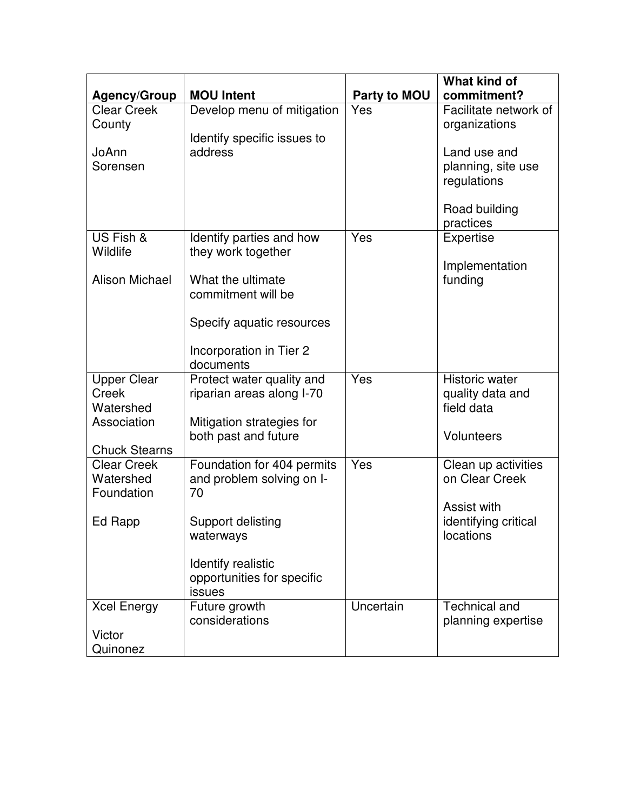|                                           |                                                        |                     | <b>What kind of</b>                  |
|-------------------------------------------|--------------------------------------------------------|---------------------|--------------------------------------|
| <b>Agency/Group</b><br><b>Clear Creek</b> | <b>MOU Intent</b><br>Develop menu of mitigation        | Party to MOU<br>Yes | commitment?<br>Facilitate network of |
| County                                    |                                                        |                     | organizations                        |
|                                           | Identify specific issues to                            |                     |                                      |
| JoAnn                                     | address                                                |                     | Land use and                         |
| Sorensen                                  |                                                        |                     | planning, site use                   |
|                                           |                                                        |                     | regulations                          |
|                                           |                                                        |                     |                                      |
|                                           |                                                        |                     | Road building                        |
|                                           |                                                        |                     | practices                            |
| US Fish &<br>Wildlife                     | Identify parties and how<br>they work together         | Yes                 | <b>Expertise</b>                     |
|                                           |                                                        |                     | Implementation                       |
| <b>Alison Michael</b>                     | What the ultimate                                      |                     | funding                              |
|                                           | commitment will be                                     |                     |                                      |
|                                           |                                                        |                     |                                      |
|                                           | Specify aquatic resources                              |                     |                                      |
|                                           |                                                        |                     |                                      |
|                                           | Incorporation in Tier 2                                |                     |                                      |
|                                           | documents                                              | Yes                 | <b>Historic water</b>                |
| <b>Upper Clear</b><br><b>Creek</b>        | Protect water quality and<br>riparian areas along I-70 |                     | quality data and                     |
| Watershed                                 |                                                        |                     | field data                           |
| Association                               | Mitigation strategies for                              |                     |                                      |
|                                           | both past and future                                   |                     | <b>Volunteers</b>                    |
| <b>Chuck Stearns</b>                      |                                                        |                     |                                      |
| <b>Clear Creek</b>                        | Foundation for 404 permits                             | Yes                 | Clean up activities                  |
| Watershed                                 | and problem solving on I-                              |                     | on Clear Creek                       |
| Foundation                                | 70                                                     |                     | Assist with                          |
| Ed Rapp                                   | Support delisting                                      |                     | identifying critical                 |
|                                           | waterways                                              |                     | locations                            |
|                                           |                                                        |                     |                                      |
|                                           | Identify realistic                                     |                     |                                      |
|                                           | opportunities for specific                             |                     |                                      |
|                                           | issues                                                 |                     |                                      |
| <b>Xcel Energy</b>                        | Future growth                                          | Uncertain           | <b>Technical and</b>                 |
| Victor                                    | considerations                                         |                     | planning expertise                   |
| Quinonez                                  |                                                        |                     |                                      |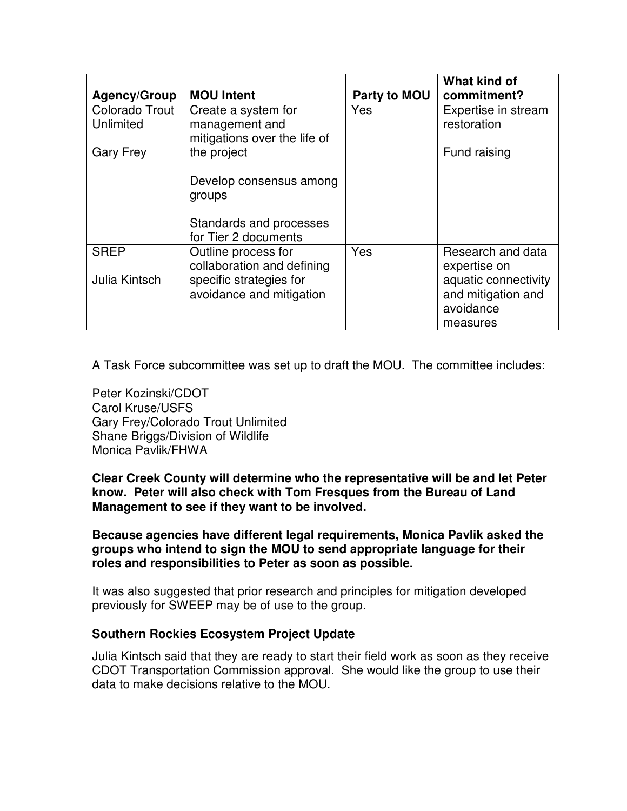| <b>Agency/Group</b>         | <b>MOU Intent</b>                                                     | Party to MOU | What kind of<br>commitment?                                         |
|-----------------------------|-----------------------------------------------------------------------|--------------|---------------------------------------------------------------------|
| Colorado Trout<br>Unlimited | Create a system for<br>management and<br>mitigations over the life of | Yes          | Expertise in stream<br>restoration                                  |
| <b>Gary Frey</b>            | the project                                                           |              | Fund raising                                                        |
|                             | Develop consensus among<br>groups                                     |              |                                                                     |
|                             | Standards and processes<br>for Tier 2 documents                       |              |                                                                     |
| <b>SREP</b>                 | Outline process for<br>collaboration and defining                     | Yes          | Research and data<br>expertise on                                   |
| Julia Kintsch               | specific strategies for<br>avoidance and mitigation                   |              | aquatic connectivity<br>and mitigation and<br>avoidance<br>measures |

A Task Force subcommittee was set up to draft the MOU. The committee includes:

Peter Kozinski/CDOT Carol Kruse/USFS Gary Frey/Colorado Trout Unlimited Shane Briggs/Division of Wildlife Monica Pavlik/FHWA

**Clear Creek County will determine who the representative will be and let Peter know. Peter will also check with Tom Fresques from the Bureau of Land Management to see if they want to be involved.**

**Because agencies have different legal requirements, Monica Pavlik asked the groups who intend to sign the MOU to send appropriate language for their roles and responsibilities to Peter as soon as possible.**

It was also suggested that prior research and principles for mitigation developed previously for SWEEP may be of use to the group.

### **Southern Rockies Ecosystem Project Update**

Julia Kintsch said that they are ready to start their field work as soon as they receive CDOT Transportation Commission approval. She would like the group to use their data to make decisions relative to the MOU.